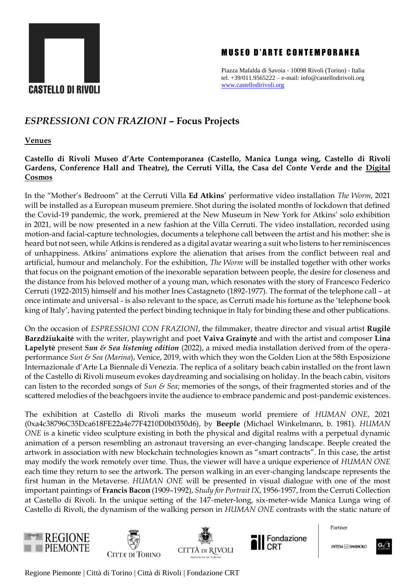

## **MUSEO D'ARTE CONTEMPORANEA**

Piazza Mafalda di Savoia - 10098 Rivoli (Torino) - Italia tel. +39/011.9565222 – e-mail: info@castellodirivoli.org [www.castellodirivoli.org](http://www.castellodirivoli.org/)

# *ESPRESSIONI CON FRAZIONI* **– Focus Projects**

**Venues**

**Castello di Rivoli Museo d'Arte Contemporanea (Castello, Manica Lunga wing, Castello di Rivoli Gardens, Conference Hall and Theatre), the Cerruti Villa, the Casa del Conte Verde and the [Digital](https://www.castellodirivoli.org/en/mostra/cosmodigitale/)  [Cosmos](https://www.castellodirivoli.org/en/mostra/cosmodigitale/)**

In the "Mother's Bedroom" at the Cerruti Villa **Ed Atkins**' performative video installation *The Worm*, 2021 will be installed as a European museum premiere. Shot during the isolated months of lockdown that defined the Covid-19 pandemic, the work, premiered at the New Museum in New York for Atkins' solo exhibition in 2021, will be now presented in a new fashion at the Villa Cerruti. The video installation, recorded using motion-and facial-capture technologies, documents a telephone call between the artist and his mother: she is heard but not seen, while Atkins is rendered as a digital avatar wearing a suit who listens to her reminiscences of unhappiness. Atkins' animations explore the alienation that arises from the conflict between real and artificial, humour and melancholy. For the exhibition, *The Worm* will be installed together with other works that focus on the poignant emotion of the inexorable separation between people, the desire for closeness and the distance from his beloved mother of a young man, which resonates with the story of Francesco Federico Cerruti (1922-2015) himself and his mother Ines Castagneto (1892-1977). The format of the telephone call – at once intimate and universal - is also relevant to the space, as Cerruti made his fortune as the 'telephone book king of Italy', having patented the perfect binding technique in Italy for binding these and other publications.

On the occasion of *ESPRESSIONI CON FRAZIONI*, the filmmaker, theatre director and visual artist **Rugilė Barzdžiukaitė** with the writer, playwright and poet **Vaiva Grainytė** and with the artist and composer **Lina Lapelytė** present *Sun & Sea listening edition* (2022), a mixed media installation derived from of the operaperformance *Sun & Sea (Marina*), Venice, 2019, with which they won the Golden Lion at the 58th Esposizione Internazionale d'Arte La Biennale di Venezia. The replica of a solitary beach cabin installed on the front lawn of the Castello di Rivoli museum evokes daydreaming and socialising on holiday. In the beach cabin, visitors can listen to the recorded songs of *Sun & Sea*; memories of the songs, of their fragmented stories and of the scattered melodies of the beachgoers invite the audience to embrace pandemic and post-pandemic existences.

The exhibition at Castello di Rivoli marks the museum world premiere of *HUMAN ONE*, 2021 (0xa4c38796C35Dca618FE22a4e77F4210D0b0350d6), by **Beeple** (Michael Winkelmann, b. 1981). *HUMAN ONE* is a kinetic video sculpture existing in both the physical and digital realms with a perpetual dynamic animation of a person resembling an astronaut traversing an ever-changing landscape. Beeple created the artwork in association with new blockchain technologies known as "smart contracts". In this case, the artist may modify the work remotely over time. Thus, the viewer will have a unique experience of *HUMAN ONE* each time they return to see the artwork. The person walking in an ever-changing landscape represents the first human in the Metaverse. *HUMAN ONE* will be presented in visual dialogue with one of the most important paintings of **Francis Bacon** (1909–1992), *Study for Portrait IX*, 1956-1957, from the Cerruti Collection at Castello di Rivoli. In the unique setting of the 147-meter-long, six-meter-wide Manica Lunga wing of Castello di Rivoli, the dynamism of the walking person in *HUMAN ONE* contrasts with the static nature of









Partner

**INTES4 MM SANDAOLO** 

Regione Piemonte | Città di Torino | Città di Rivoli | Fondazione CRT

 $\mathbf{G} \mathscr{N}$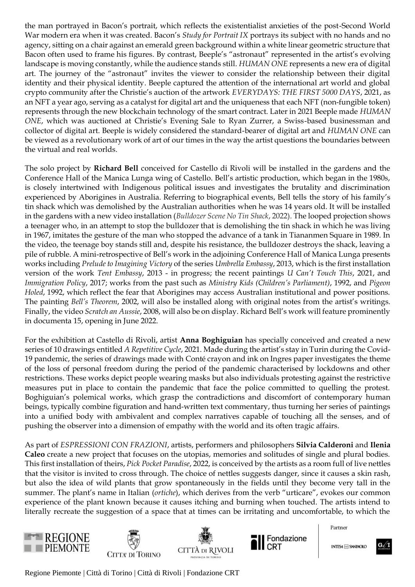the man portrayed in Bacon's portrait, which reflects the existentialist anxieties of the post-Second World War modern era when it was created. Bacon's *Study for Portrait IX* portrays its subject with no hands and no agency, sitting on a chair against an emerald green background within a white linear geometric structure that Bacon often used to frame his figures. By contrast, Beeple's "astronaut" represented in the artist's evolving landscape is moving constantly, while the audience stands still. *HUMAN ONE* represents a new era of digital art. The journey of the "astronaut" invites the viewer to consider the relationship between their digital identity and their physical identity. Beeple captured the attention of the international art world and global crypto community after the Christie's auction of the artwork *EVERYDAYS: THE FIRST 5000 DAYS*, 2021, as an NFT a year ago, serving as a catalyst for digital art and the uniqueness that each NFT (non-fungible token) represents through the new blockchain technology of the smart contract. Later in 2021 Beeple made *HUMAN ONE*, which was auctioned at Christie's Evening Sale to Ryan Zurrer, a Swiss-based businessman and collector of digital art. Beeple is widely considered the standard-bearer of digital art and *HUMAN ONE* can be viewed as a revolutionary work of art of our times in the way the artist questions the boundaries between the virtual and real worlds.

The solo project by **Richard Bell** conceived for Castello di Rivoli will be installed in the gardens and the Conference Hall of the Manica Lunga wing of Castello. Bell's artistic production, which began in the 1980s, is closely intertwined with Indigenous political issues and investigates the brutality and discrimination experienced by Aborigines in Australia. Referring to biographical events, Bell tells the story of his family's tin shack which was demolished by the Australian authorities when he was 14 years old. It will be installed in the gardens with a new video installation (*Bulldozer Scene No Tin Shack*, 2022). The looped projection shows a teenager who, in an attempt to stop the bulldozer that is demolishing the tin shack in which he was living in 1967, imitates the gesture of the man who stopped the advance of a tank in Tiananmen Square in 1989. In the video, the teenage boy stands still and, despite his resistance, the bulldozer destroys the shack, leaving a pile of rubble. A mini-retrospective of Bell's work in the adjoining Conference Hall of Manica Lunga presents works including *Prelude to Imagining Victory* of the series *Umbrella Embassy*, 2013, which is the first installation version of the work *Tent Embassy*, 2013 - in progress; the recent paintings *U Can't Touch This*, 2021, and *Immigration Policy*, 2017; works from the past such as *Ministry Kids (Children's Parliament)*, 1992, and *Pigeon Holed*, 1992, which reflect the fear that Aborigines may access Australian institutional and power positions. The painting *Bell's Theorem*, 2002, will also be installed along with original notes from the artist's writings. Finally, the video *Scratch an Aussie*, 2008, will also be on display. Richard Bell's work will feature prominently in documenta 15, opening in June 2022.

For the exhibition at Castello di Rivoli, artist **Anna Boghiguian** has specially conceived and created a new series of 10 drawings entitled *A Repetitive Cycle*, 2021. Made during the artist's stay in Turin during the Covid-19 pandemic, the series of drawings made with Conté crayon and ink on Ingres paper investigates the theme of the loss of personal freedom during the period of the pandemic characterised by lockdowns and other restrictions. These works depict people wearing masks but also individuals protesting against the restrictive measures put in place to contain the pandemic that face the police committed to quelling the protest. Boghiguian's polemical works, which grasp the contradictions and discomfort of contemporary human beings, typically combine figuration and hand-written text commentary, thus turning her series of paintings into a unified body with ambivalent and complex narratives capable of touching all the senses, and of pushing the observer into a dimension of empathy with the world and its often tragic affairs.

As part of *ESPRESSIONI CON FRAZIONI*, artists, performers and philosophers **Silvia Calderoni** and **Ilenia Caleo** create a new project that focuses on the utopias, memories and solitudes of single and plural bodies. This first installation of theirs, *Pick Pocket Paradise*, 2022, is conceived by the artists as a room full of live nettles that the visitor is invited to cross through. The choice of nettles suggests danger, since it causes a skin rash, but also the idea of wild plants that grow spontaneously in the fields until they become very tall in the summer. The plant's name in Italian (*ortiche*), which derives from the verb "urticare", evokes our common experience of the plant known because it causes itching and burning when touched. The artists intend to literally recreate the suggestion of a space that at times can be irritating and uncomfortable, to which the









Partner

**INTES4 MM SANDAOLO** 

 $G \mathscr{N}$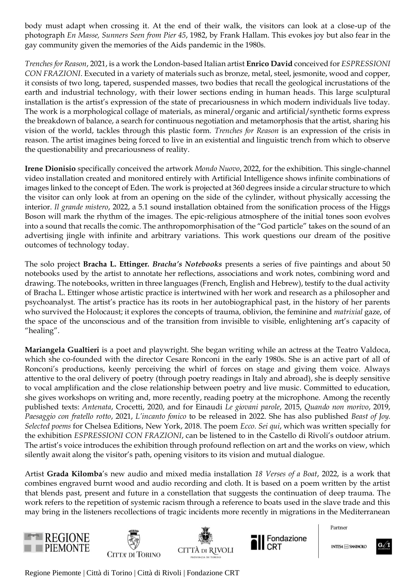body must adapt when crossing it. At the end of their walk, the visitors can look at a close-up of the photograph *En Masse, Sunners Seen from Pier 45*, 1982, by Frank Hallam. This evokes joy but also fear in the gay community given the memories of the Aids pandemic in the 1980s.

*Trenches for Reason*, 2021, is a work the London-based Italian artist **Enrico David** conceived for *ESPRESSIONI CON FRAZIONI*. Executed in a variety of materials such as bronze, metal, steel, jesmonite, wood and copper, it consists of two long, tapered, suspended masses, two bodies that recall the geological incrustations of the earth and industrial technology, with their lower sections ending in human heads. This large sculptural installation is the artist's expression of the state of precariousness in which modern individuals live today. The work is a morphological collage of materials, as mineral/organic and artificial/synthetic forms express the breakdown of balance, a search for continuous negotiation and metamorphosis that the artist, sharing his vision of the world, tackles through this plastic form. *Trenches for Reason* is an expression of the crisis in reason. The artist imagines being forced to live in an existential and linguistic trench from which to observe the questionability and precariousness of reality.

**Irene Dionisio** specifically conceived the artwork *Mondo Nuovo*, 2022, for the exhibition. This single-channel video installation created and monitored entirely with Artificial Intelligence shows infinite combinations of images linked to the concept of Eden. The work is projected at 360 degrees inside a circular structure to which the visitor can only look at from an opening on the side of the cylinder, without physically accessing the interior. *Il grande mistero*, 2022, a 5.1 sound installation obtained from the sonification process of the Higgs Boson will mark the rhythm of the images. The epic-religious atmosphere of the initial tones soon evolves into a sound that recalls the comic. The anthropomorphisation of the "God particle" takes on the sound of an advertising jingle with infinite and arbitrary variations. This work questions our dream of the positive outcomes of technology today.

The solo project **Bracha L. Ettinger***. Bracha's Notebooks* presents a series of five paintings and about 50 notebooks used by the artist to annotate her reflections, associations and work notes, combining word and drawing. The notebooks, written in three languages (French, English and Hebrew), testify to the dual activity of Bracha L. Ettinger whose artistic practice is intertwined with her work and research as a philosopher and psychoanalyst. The artist's practice has its roots in her autobiographical past, in the history of her parents who survived the Holocaust; it explores the concepts of trauma, oblivion, the feminine and *matrixial* gaze, of the space of the unconscious and of the transition from invisible to visible, enlightening art's capacity of "healing".

**Mariangela Gualtieri** is a poet and playwright. She began writing while an actress at the Teatro Valdoca, which she co-founded with the director Cesare Ronconi in the early 1980s. She is an active part of all of Ronconi's productions, keenly perceiving the whirl of forces on stage and giving them voice. Always attentive to the oral delivery of poetry (through poetry readings in Italy and abroad), she is deeply sensitive to vocal amplification and the close relationship between poetry and live music. Committed to education, she gives workshops on writing and, more recently, reading poetry at the microphone. Among the recently published texts: *Antenata*, Crocetti, 2020, and for Einaudi *Le giovani parole*, 2015, *Quando non morivo*, 2019, *Paesaggio con fratello rotto*, 2021, *L'incanto fonico* to be released in 2022. She has also published *Beast of Joy. Selected poems* for Chelsea Editions, New York, 2018. The poem *Ecco. Sei qui*, which was written specially for the exhibition *ESPRESSIONI CON FRAZIONI*, can be listened to in the Castello di Rivoli's outdoor atrium. The artist's voice introduces the exhibition through profound reflection on art and the works on view, which silently await along the visitor's path, opening visitors to its vision and mutual dialogue.

Artist **Grada Kilomba**'s new audio and mixed media installation *18 Verses of a Boat*, 2022, is a work that combines engraved burnt wood and audio recording and cloth. It is based on a poem written by the artist that blends past, present and future in a constellation that suggests the continuation of deep trauma. The work refers to the repetition of systemic racism through a reference to boats used in the slave trade and this may bring in the listeners recollections of tragic incidents more recently in migrations in the Mediterranean









Partner

**INTES4 MM SANDAOLO** 

 $G \mathscr{N}$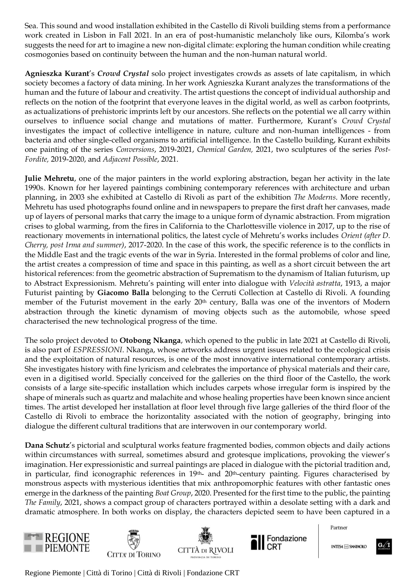Sea. This sound and wood installation exhibited in the Castello di Rivoli building stems from a performance work created in Lisbon in Fall 2021. In an era of post-humanistic melancholy like ours, Kilomba's work suggests the need for art to imagine a new non-digital climate: exploring the human condition while creating cosmogonies based on continuity between the human and the non-human natural world.

**Agnieszka Kurant**'s *Crowd Crystal* solo project investigates crowds as assets of late capitalism, in which society becomes a factory of data mining. In her work Agnieszka Kurant analyzes the transformations of the human and the future of labour and creativity. The artist questions the concept of individual authorship and reflects on the notion of the footprint that everyone leaves in the digital world, as well as carbon footprints, as actualizations of prehistoric imprints left by our ancestors. She reflects on the potential we all carry within ourselves to influence social change and mutations of matter. Furthermore, Kurant's *Crowd Crystal* investigates the impact of collective intelligence in nature, culture and non-human intelligences - from bacteria and other single-celled organisms to artificial intelligence. In the Castello building, Kurant exhibits one painting of the series *Conversions*, 2019-2021, *Chemical Garden,* 2021, two sculptures of the series *Post-Fordite,* 2019-2020, and *Adjacent Possible*, 2021.

**Julie Mehretu**, one of the major painters in the world exploring abstraction, began her activity in the late 1990s. Known for her layered paintings combining contemporary references with architecture and urban planning, in 2003 she exhibited at Castello di Rivoli as part of the exhibition *The Moderns*. More recently, Mehretu has used photographs found online and in newspapers to prepare the first draft her canvases, made up of layers of personal marks that carry the image to a unique form of dynamic abstraction. From migration crises to global warming, from the fires in California to the Charlottesville violence in 2017, up to the rise of reactionary movements in international politics, the latest cycle of Mehretu's works includes *Orient (after D. Cherry, post Irma and summer)*, 2017-2020. In the case of this work, the specific reference is to the conflicts in the Middle East and the tragic events of the war in Syria. Interested in the formal problems of color and line, the artist creates a compression of time and space in this painting, as well as a short circuit between the art historical references: from the geometric abstraction of Suprematism to the dynamism of Italian futurism, up to Abstract Expressionism. Mehretu's painting will enter into dialogue with *Velocità astratta*, 1913, a major Futurist painting by **Giacomo Balla** belonging to the Cerruti Collection at Castello di Rivoli. A founding member of the Futurist movement in the early 20<sup>th</sup> century, Balla was one of the inventors of Modern abstraction through the kinetic dynamism of moving objects such as the automobile, whose speed characterised the new technological progress of the time.

The solo project devoted to **Otobong Nkanga**, which opened to the public in late 2021 at Castello di Rivoli, is also part of *ESPRESSIONI*. Nkanga, whose artworks address urgent issues related to the ecological crisis and the exploitation of natural resources, is one of the most innovative international contemporary artists. She investigates history with fine lyricism and celebrates the importance of physical materials and their care, even in a digitised world. Specially conceived for the galleries on the third floor of the Castello, the work consists of a large site-specific installation which includes carpets whose irregular form is inspired by the shape of minerals such as quartz and malachite and whose healing properties have been known since ancient times. The artist developed her installation at floor level through five large galleries of the third floor of the Castello di Rivoli to embrace the horizontality associated with the notion of geography, bringing into dialogue the different cultural traditions that are interwoven in our contemporary world.

**Dana Schutz**'s pictorial and sculptural works feature fragmented bodies, common objects and daily actions within circumstances with surreal, sometimes absurd and grotesque implications, provoking the viewer's imagination. Her expressionistic and surreal paintings are placed in dialogue with the pictorial tradition and, in particular, find iconographic references in 19<sup>th</sup>- and 20<sup>th</sup>-century painting. Figures characterised by monstrous aspects with mysterious identities that mix anthropomorphic features with other fantastic ones emerge in the darkness of the painting *Boat Group*, 2020. Presented for the first time to the public, the painting *The Family*, 2021, shows a compact group of characters portrayed within a desolate setting with a dark and dramatic atmosphere. In both works on display, the characters depicted seem to have been captured in a









Partner

**INTES4 m SNNB4OLO** 

 $G \mathscr{N}$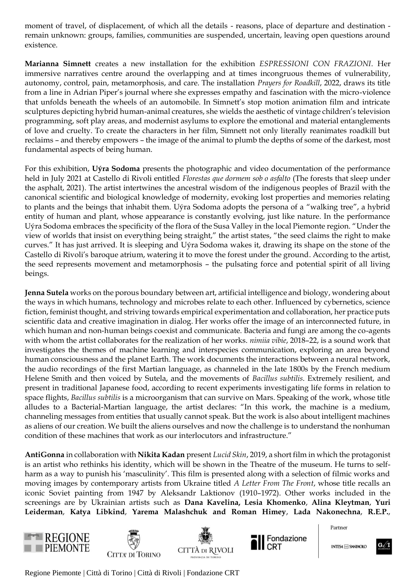moment of travel, of displacement, of which all the details - reasons, place of departure and destination remain unknown: groups, families, communities are suspended, uncertain, leaving open questions around existence.

**Marianna Simnett** creates a new installation for the exhibition *ESPRESSIONI CON FRAZIONI*. Her immersive narratives centre around the overlapping and at times incongruous themes of vulnerability, autonomy, control, pain, metamorphosis, and care. The installation *Prayers for Roadkill*, 2022, draws its title from a line in Adrian Piper's journal where she expresses empathy and fascination with the micro-violence that unfolds beneath the wheels of an automobile. In Simnett's stop motion animation film and intricate sculptures depicting hybrid human-animal creatures, she wields the aesthetic of vintage children's television programming, soft play areas, and modernist asylums to explore the emotional and material entanglements of love and cruelty. To create the characters in her film, Simnett not only literally reanimates roadkill but reclaims – and thereby empowers – the image of the animal to plumb the depths of some of the darkest, most fundamental aspects of being human.

For this exhibition, **Uýra Sodoma** presents the photographic and video documentation of the performance held in July 2021 at Castello di Rivoli entitled *Florestas que dormem sob o asfalto* (The forests that sleep under the asphalt, 2021). The artist intertwines the ancestral wisdom of the indigenous peoples of Brazil with the canonical scientific and biological knowledge of modernity, evoking lost properties and memories relating to plants and the beings that inhabit them. Uýra Sodoma adopts the persona of a "walking tree", a hybrid entity of human and plant, whose appearance is constantly evolving, just like nature. In the performance Uýra Sodoma embraces the specificity of the flora of the Susa Valley in the local Piemonte region. "Under the view of worlds that insist on everything being straight," the artist states, "the seed claims the right to make curves." It has just arrived. It is sleeping and Uýra Sodoma wakes it, drawing its shape on the stone of the Castello di Rivoli's baroque atrium, watering it to move the forest under the ground. According to the artist, the seed represents movement and metamorphosis – the pulsating force and potential spirit of all living beings.

**Jenna Sutela** works on the porous boundary between art, artificial intelligence and biology, wondering about the ways in which humans, technology and microbes relate to each other. Influenced by cybernetics, science fiction, feminist thought, and striving towards empirical experimentation and collaboration, her practice puts scientific data and creative imagination in dialog. Her works offer the image of an interconnected future, in which human and non-human beings coexist and communicate. Bacteria and fungi are among the co-agents with whom the artist collaborates for the realization of her works. *nimiia vibie*, 2018–22, is a sound work that investigates the themes of machine learning and interspecies communication, exploring an area beyond human consciousness and the planet Earth. The work documents the interactions between a neural network, the audio recordings of the first Martian language, as channeled in the late 1800s by the French medium Helene Smith and then voiced by Sutela, and the movements of *Bacillus subtilis*. Extremely resilient, and present in traditional Japanese food, according to recent experiments investigating life forms in relation to space flights, *Bacillus subtilis* is a microorganism that can survive on Mars. Speaking of the work, whose title alludes to a Bacterial-Martian language, the artist declares: "In this work, the machine is a medium, channeling messages from entities that usually cannot speak. But the work is also about intelligent machines as aliens of our creation. We built the aliens ourselves and now the challenge is to understand the nonhuman condition of these machines that work as our interlocutors and infrastructure."

**AntiGonna** in collaboration with **Nikita Kadan** present *Lucid Skin*, 2019, a short film in which the protagonist is an artist who rethinks his identity, which will be shown in the Theatre of the museum. He turns to selfharm as a way to punish his 'masculinity'. This film is presented along with a selection of filmic works and moving images by contemporary artists from Ukraine titled *A Letter From The Front*, whose title recalls an iconic Soviet painting from 1947 by Aleksandr Laktionov (1910–1972). Other works included in the screenings are by Ukrainian artists such as **Dana Kavelina, Lesia Khomenkо**, **Alina Kleytman**, **Yuri Leiderman**, **Katya Libkind**, **Yarema Malashchuk and Roman Himey**, **Lada Nakonechna**, **R.E.P.**,









Partner

**INTES4 MM SANDAOLO** 

 $\mathbf{G} \mathscr{U}$  I